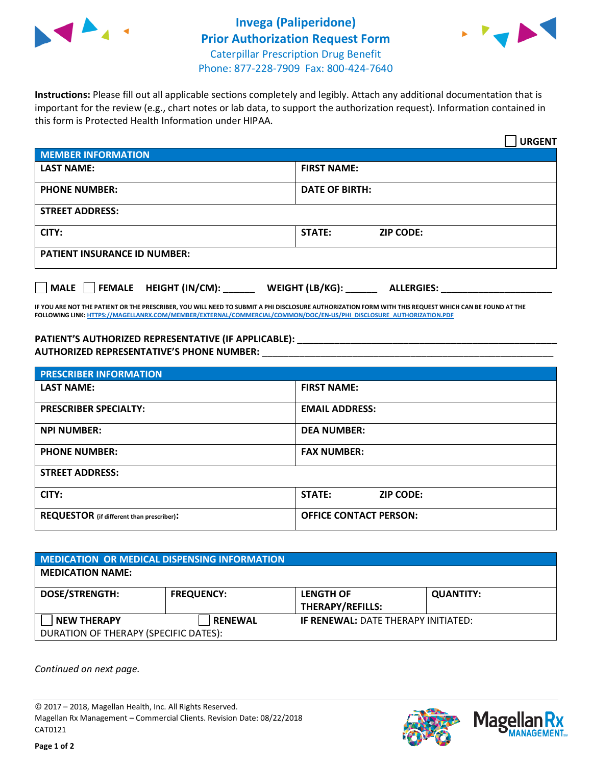



**Instructions:** Please fill out all applicable sections completely and legibly. Attach any additional documentation that is important for the review (e.g., chart notes or lab data, to support the authorization request). Information contained in this form is Protected Health Information under HIPAA.

|                                     |                                      | <b>URGENT</b> |  |  |
|-------------------------------------|--------------------------------------|---------------|--|--|
| <b>MEMBER INFORMATION</b>           |                                      |               |  |  |
| <b>LAST NAME:</b>                   | <b>FIRST NAME:</b>                   |               |  |  |
| <b>PHONE NUMBER:</b>                | <b>DATE OF BIRTH:</b>                |               |  |  |
| <b>STREET ADDRESS:</b>              |                                      |               |  |  |
| CITY:                               | <b>STATE:</b><br><b>ZIP CODE:</b>    |               |  |  |
| <b>PATIENT INSURANCE ID NUMBER:</b> |                                      |               |  |  |
| FEMALE HEIGHT (IN/CM):<br>MALE      | WEIGHT (LB/KG):<br><b>ALLERGIES:</b> |               |  |  |

**IF YOU ARE NOT THE PATIENT OR THE PRESCRIBER, YOU WILL NEED TO SUBMIT A PHI DISCLOSURE AUTHORIZATION FORM WITH THIS REQUEST WHICH CAN BE FOUND AT THE FOLLOWING LINK[: HTTPS://MAGELLANRX.COM/MEMBER/EXTERNAL/COMMERCIAL/COMMON/DOC/EN-US/PHI\\_DISCLOSURE\\_AUTHORIZATION.PDF](https://magellanrx.com/member/external/commercial/common/doc/en-us/PHI_Disclosure_Authorization.pdf)**

**PATIENT'S AUTHORIZED REPRESENTATIVE (IF APPLICABLE): \_\_\_\_\_\_\_\_\_\_\_\_\_\_\_\_\_\_\_\_\_\_\_\_\_\_\_\_\_\_\_\_\_\_\_\_\_\_\_\_\_\_\_\_\_\_\_\_\_ AUTHORIZED REPRESENTATIVE'S PHONE NUMBER:** \_\_\_\_\_\_\_\_\_\_\_\_\_\_\_\_\_\_\_\_\_\_\_\_\_\_\_\_\_\_\_\_\_\_\_\_\_\_\_\_\_\_\_\_\_\_\_\_\_\_\_\_\_\_\_

| <b>PRESCRIBER INFORMATION</b>             |                                   |  |  |  |
|-------------------------------------------|-----------------------------------|--|--|--|
| <b>LAST NAME:</b>                         | <b>FIRST NAME:</b>                |  |  |  |
| <b>PRESCRIBER SPECIALTY:</b>              | <b>EMAIL ADDRESS:</b>             |  |  |  |
| <b>NPI NUMBER:</b>                        | <b>DEA NUMBER:</b>                |  |  |  |
| <b>PHONE NUMBER:</b>                      | <b>FAX NUMBER:</b>                |  |  |  |
| <b>STREET ADDRESS:</b>                    |                                   |  |  |  |
| CITY:                                     | <b>STATE:</b><br><b>ZIP CODE:</b> |  |  |  |
| REQUESTOR (if different than prescriber): | <b>OFFICE CONTACT PERSON:</b>     |  |  |  |

| <b>MEDICATION OR MEDICAL DISPENSING INFORMATION</b> |                   |                                            |                  |  |  |
|-----------------------------------------------------|-------------------|--------------------------------------------|------------------|--|--|
| <b>MEDICATION NAME:</b>                             |                   |                                            |                  |  |  |
| <b>DOSE/STRENGTH:</b>                               | <b>FREQUENCY:</b> | <b>LENGTH OF</b>                           | <b>QUANTITY:</b> |  |  |
|                                                     |                   | <b>THERAPY/REFILLS:</b>                    |                  |  |  |
| <b>NEW THERAPY</b>                                  | <b>RENEWAL</b>    | <b>IF RENEWAL: DATE THERAPY INITIATED:</b> |                  |  |  |
| DURATION OF THERAPY (SPECIFIC DATES):               |                   |                                            |                  |  |  |

*Continued on next page.*

© 2017 – 2018, Magellan Health, Inc. All Rights Reserved. Magellan Rx Management – Commercial Clients. Revision Date: 08/22/2018 CAT0121